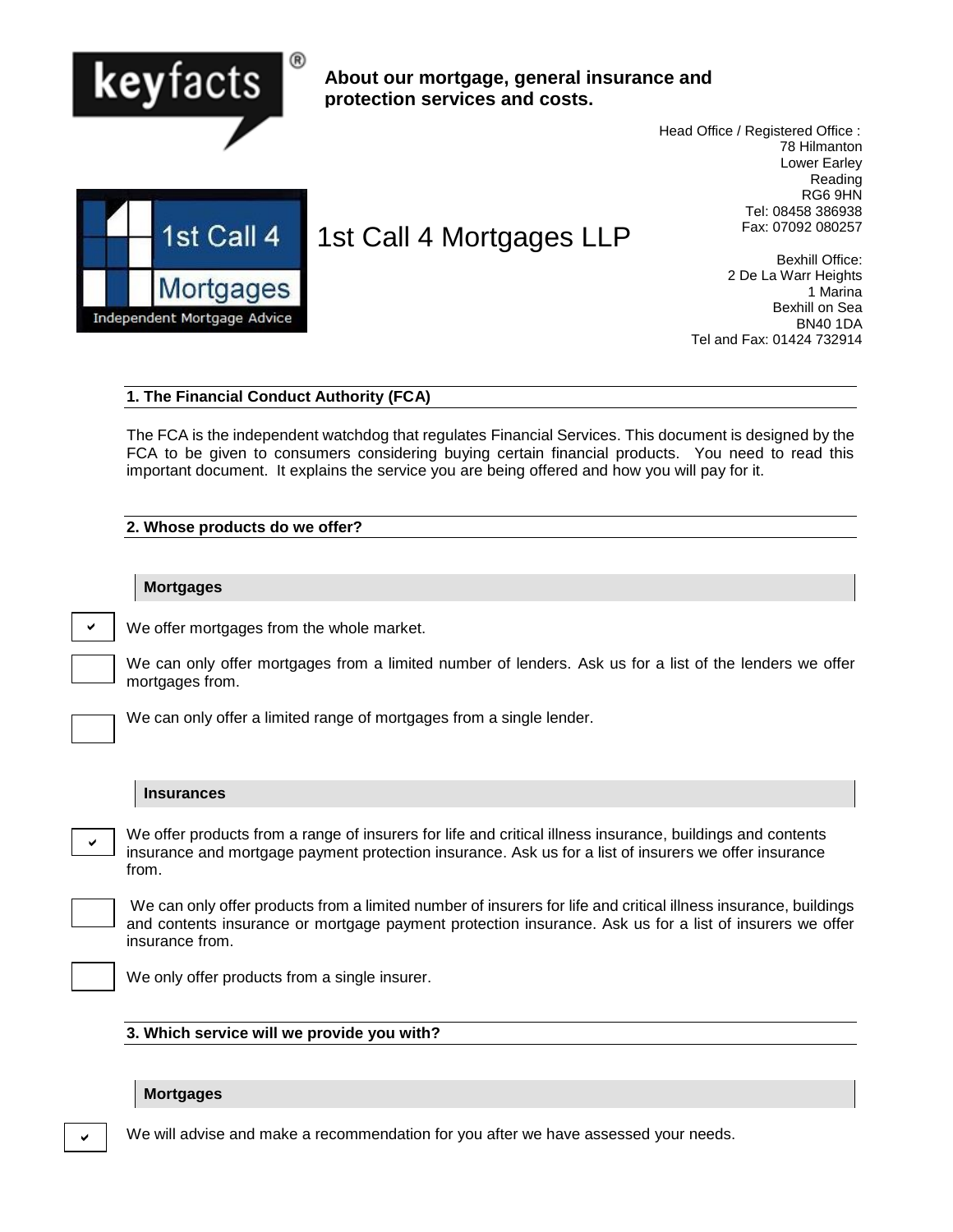

# **About our mortgage, general insurance and protection services and costs.**

 Head Office / Registered Office : 78 Hilmanton Lower Earley Reading RG6 9HN Tel: 08458 386938 Fax: 07092 080257



# 1st Call 4 Mortgages LLP

Bexhill Office: 2 De La Warr Heights 1 Marina Bexhill on Sea BN40 1DA Tel and Fax: 01424 732914

## **1. The Financial Conduct Authority (FCA)**

The FCA is the independent watchdog that regulates Financial Services. This document is designed by the FCA to be given to consumers considering buying certain financial products. You need to read this important document. It explains the service you are being offered and how you will pay for it.

## **2. Whose products do we offer?**

### **Mortgages**

We offer mortgages from the whole market.

We can only offer mortgages from a limited number of lenders. Ask us for a list of the lenders we offer mortgages from.



 $\checkmark$ 

We can only offer a limited range of mortgages from a single lender.

### **Insurances**

We offer products from a range of insurers for life and critical illness insurance, buildings and contents insurance and mortgage payment protection insurance. Ask us for a list of insurers we offer insurance from.

We can only offer products from a limited number of insurers for life and critical illness insurance, buildings and contents insurance or mortgage payment protection insurance. Ask us for a list of insurers we offer insurance from.



 $\checkmark$ 

We only offer products from a single insurer.

### **3. Which service will we provide you with?**

# **Mortgages**

We will advise and make a recommendation for you after we have assessed your needs.

 $\checkmark$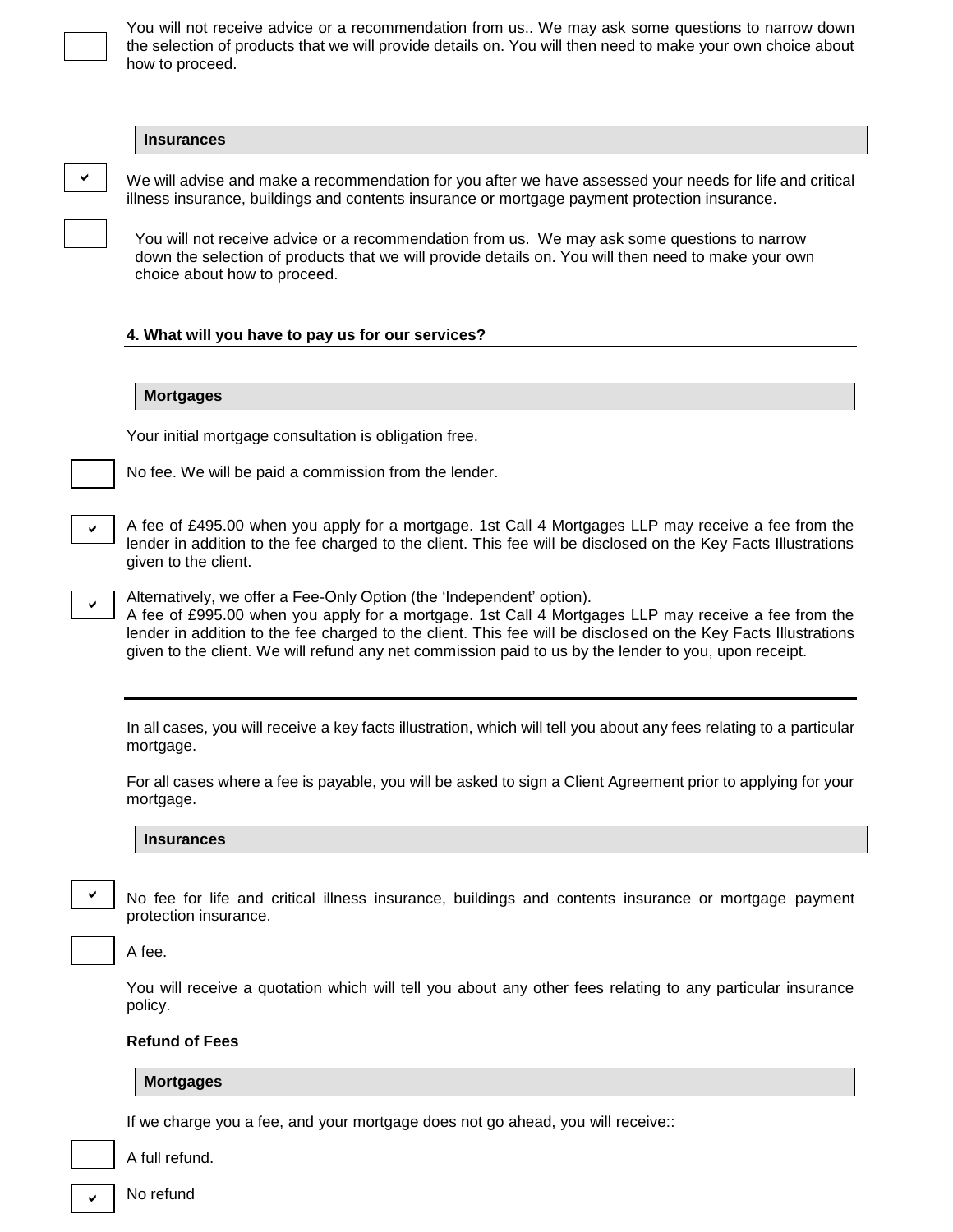You will not receive advice or a recommendation from us.. We may ask some questions to narrow down the selection of products that we will provide details on. You will then need to make your own choice about how to proceed.

### **Insurances**

| <b>Insurances</b>                                                                                                                                                                                                                                                                                                                                                                                       |
|---------------------------------------------------------------------------------------------------------------------------------------------------------------------------------------------------------------------------------------------------------------------------------------------------------------------------------------------------------------------------------------------------------|
| We will advise and make a recommendation for you after we have assessed your needs for life and critical<br>illness insurance, buildings and contents insurance or mortgage payment protection insurance.                                                                                                                                                                                               |
| You will not receive advice or a recommendation from us. We may ask some questions to narrow<br>down the selection of products that we will provide details on. You will then need to make your own<br>choice about how to proceed.                                                                                                                                                                     |
| 4. What will you have to pay us for our services?                                                                                                                                                                                                                                                                                                                                                       |
|                                                                                                                                                                                                                                                                                                                                                                                                         |
| <b>Mortgages</b>                                                                                                                                                                                                                                                                                                                                                                                        |
| Your initial mortgage consultation is obligation free.                                                                                                                                                                                                                                                                                                                                                  |
| No fee. We will be paid a commission from the lender.                                                                                                                                                                                                                                                                                                                                                   |
|                                                                                                                                                                                                                                                                                                                                                                                                         |
| A fee of £495.00 when you apply for a mortgage. 1st Call 4 Mortgages LLP may receive a fee from the<br>lender in addition to the fee charged to the client. This fee will be disclosed on the Key Facts Illustrations<br>given to the client.                                                                                                                                                           |
| Alternatively, we offer a Fee-Only Option (the 'Independent' option).<br>A fee of £995.00 when you apply for a mortgage. 1st Call 4 Mortgages LLP may receive a fee from the<br>lender in addition to the fee charged to the client. This fee will be disclosed on the Key Facts Illustrations<br>given to the client. We will refund any net commission paid to us by the lender to you, upon receipt. |
|                                                                                                                                                                                                                                                                                                                                                                                                         |
| In all cases, you will receive a key facts illustration, which will tell you about any fees relating to a particular<br>mortgage.                                                                                                                                                                                                                                                                       |
| For all cases where a fee is payable, you will be asked to sign a Client Agreement prior to applying for your<br>mortgage.                                                                                                                                                                                                                                                                              |
| <b>Insurances</b>                                                                                                                                                                                                                                                                                                                                                                                       |
|                                                                                                                                                                                                                                                                                                                                                                                                         |
| No fee for life and critical illness insurance, buildings and contents insurance or mortgage payment<br>protection insurance.                                                                                                                                                                                                                                                                           |
| A fee.                                                                                                                                                                                                                                                                                                                                                                                                  |
| You will receive a quotation which will tell you about any other fees relating to any particular insurance<br>policy.                                                                                                                                                                                                                                                                                   |
| <b>Refund of Fees</b>                                                                                                                                                                                                                                                                                                                                                                                   |
| <b>Mortgages</b>                                                                                                                                                                                                                                                                                                                                                                                        |
| If we charge you a fee, and your mortgage does not go ahead, you will receive::                                                                                                                                                                                                                                                                                                                         |
| A full refund.                                                                                                                                                                                                                                                                                                                                                                                          |

No refund  $\checkmark$